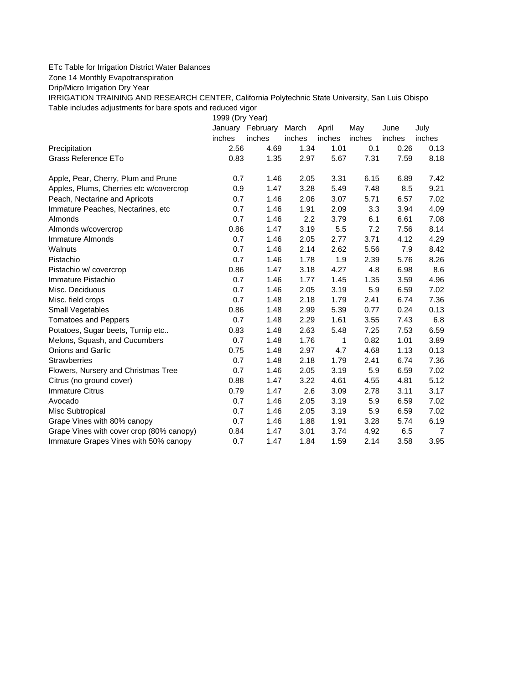## ETc Table for Irrigation District Water Balances

Zone 14 Monthly Evapotranspiration

Drip/Micro Irrigation Dry Year

IRRIGATION TRAINING AND RESEARCH CENTER, California Polytechnic State University, San Luis Obispo Table includes adjustments for bare spots and reduced vigor

1999 (Dry Year)

|                                          |        | January February | March  | April  | May    | June   | July   |
|------------------------------------------|--------|------------------|--------|--------|--------|--------|--------|
|                                          | inches | inches           | inches | inches | inches | inches | inches |
| Precipitation                            | 2.56   | 4.69             | 1.34   | 1.01   | 0.1    | 0.26   | 0.13   |
| Grass Reference ETo                      | 0.83   | 1.35             | 2.97   | 5.67   | 7.31   | 7.59   | 8.18   |
| Apple, Pear, Cherry, Plum and Prune      | 0.7    | 1.46             | 2.05   | 3.31   | 6.15   | 6.89   | 7.42   |
| Apples, Plums, Cherries etc w/covercrop  | 0.9    | 1.47             | 3.28   | 5.49   | 7.48   | 8.5    | 9.21   |
| Peach, Nectarine and Apricots            | 0.7    | 1.46             | 2.06   | 3.07   | 5.71   | 6.57   | 7.02   |
| Immature Peaches, Nectarines, etc.       | 0.7    | 1.46             | 1.91   | 2.09   | 3.3    | 3.94   | 4.09   |
| Almonds                                  | 0.7    | 1.46             | 2.2    | 3.79   | 6.1    | 6.61   | 7.08   |
| Almonds w/covercrop                      | 0.86   | 1.47             | 3.19   | 5.5    | 7.2    | 7.56   | 8.14   |
| Immature Almonds                         | 0.7    | 1.46             | 2.05   | 2.77   | 3.71   | 4.12   | 4.29   |
| Walnuts                                  | 0.7    | 1.46             | 2.14   | 2.62   | 5.56   | 7.9    | 8.42   |
| Pistachio                                | 0.7    | 1.46             | 1.78   | 1.9    | 2.39   | 5.76   | 8.26   |
| Pistachio w/ covercrop                   | 0.86   | 1.47             | 3.18   | 4.27   | 4.8    | 6.98   | 8.6    |
| Immature Pistachio                       | 0.7    | 1.46             | 1.77   | 1.45   | 1.35   | 3.59   | 4.96   |
| Misc. Deciduous                          | 0.7    | 1.46             | 2.05   | 3.19   | 5.9    | 6.59   | 7.02   |
| Misc. field crops                        | 0.7    | 1.48             | 2.18   | 1.79   | 2.41   | 6.74   | 7.36   |
| Small Vegetables                         | 0.86   | 1.48             | 2.99   | 5.39   | 0.77   | 0.24   | 0.13   |
| <b>Tomatoes and Peppers</b>              | 0.7    | 1.48             | 2.29   | 1.61   | 3.55   | 7.43   | 6.8    |
| Potatoes, Sugar beets, Turnip etc        | 0.83   | 1.48             | 2.63   | 5.48   | 7.25   | 7.53   | 6.59   |
| Melons, Squash, and Cucumbers            | 0.7    | 1.48             | 1.76   | 1      | 0.82   | 1.01   | 3.89   |
| <b>Onions and Garlic</b>                 | 0.75   | 1.48             | 2.97   | 4.7    | 4.68   | 1.13   | 0.13   |
| <b>Strawberries</b>                      | 0.7    | 1.48             | 2.18   | 1.79   | 2.41   | 6.74   | 7.36   |
| Flowers, Nursery and Christmas Tree      | 0.7    | 1.46             | 2.05   | 3.19   | 5.9    | 6.59   | 7.02   |
| Citrus (no ground cover)                 | 0.88   | 1.47             | 3.22   | 4.61   | 4.55   | 4.81   | 5.12   |
| <b>Immature Citrus</b>                   | 0.79   | 1.47             | 2.6    | 3.09   | 2.78   | 3.11   | 3.17   |
| Avocado                                  | 0.7    | 1.46             | 2.05   | 3.19   | 5.9    | 6.59   | 7.02   |
| Misc Subtropical                         | 0.7    | 1.46             | 2.05   | 3.19   | 5.9    | 6.59   | 7.02   |
| Grape Vines with 80% canopy              | 0.7    | 1.46             | 1.88   | 1.91   | 3.28   | 5.74   | 6.19   |
| Grape Vines with cover crop (80% canopy) | 0.84   | 1.47             | 3.01   | 3.74   | 4.92   | 6.5    | 7      |
| Immature Grapes Vines with 50% canopy    | 0.7    | 1.47             | 1.84   | 1.59   | 2.14   | 3.58   | 3.95   |